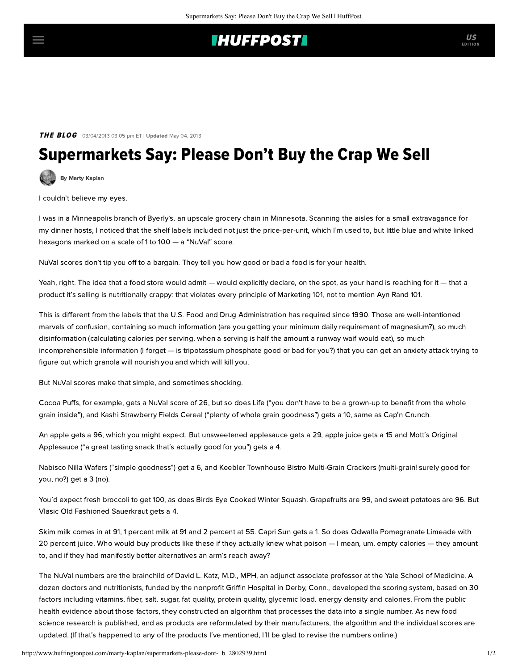## **THUFFPOST**

### **THE BLOG** 03/04/2013 03:05 pm ET | Updated May 04, 2013

# Supermarkets Say: Please Don't Buy the Crap We Sell

[By Marty Kaplan](http://www.huffingtonpost.com/author/marty-kaplan)

I couldn't believe my eyes.

I was in a Minneapolis branch of Byerly's, an upscale grocery chain in Minnesota. Scanning the aisles for a small extravagance for my dinner hosts, I noticed that the shelf labels included not just the price-per-unit, which I'm used to, but little blue and white linked hexagons marked on a scale of 1 to 100 — a "NuVal" score.

[NuVal](http://www.nuval.com/) scores don't tip you off to a bargain. They tell you how good or bad a food is for your health.

Yeah, right. The idea that a food store would admit — would explicitly declare, on the spot, as your hand is reaching for it — that a product it's selling is nutritionally crappy: that violates every principle of Marketing 101, not to mention Ayn Rand 101.

This is different from the labels that the U.S. Food and Drug Administration has required since 1990. Those are well-intentioned marvels of confusion, containing so much information (are you getting your minimum daily requirement of magnesium?), so much disinformation (calculating calories per serving, when a serving is half the amount a runway waif would eat), so much incomprehensible information (I forget — is tripotassium phosphate good or bad for you?) that you can get an anxiety attack trying to figure out which granola will nourish you and which will kill you.

But NuVal scores make that simple, and sometimes shocking.

Cocoa Puffs, for example, gets a NuVal score of 26, but so does Life ("you don't have to be a grown-up to benefit from the whole grain inside"), and Kashi Strawberry Fields Cereal ("plenty of whole grain goodness") gets a 10, same as Cap'n Crunch.

An apple gets a 96, which you might expect. But unsweetened applesauce gets a 29, apple juice gets a 15 and Mott's Original Applesauce ("a great tasting snack that's actually good for you") gets a 4.

Nabisco Nilla Wafers ("simple goodness") get a 6, and Keebler Townhouse Bistro Multi-Grain Crackers (multi-grain! surely good for you, no?) get a 3 (no).

You'd expect fresh broccoli to get 100, as does Birds Eye Cooked Winter Squash. Grapefruits are 99, and sweet potatoes are 96. But Vlasic Old Fashioned Sauerkraut gets a 4.

Skim milk comes in at 91, 1 percent milk at 91 and 2 percent at 55. Capri Sun gets a 1. So does Odwalla Pomegranate Limeade with 20 percent juice. Who would buy products like these if they actually knew what poison — I mean, um, empty calories — they amount to, and if they had manifestly better alternatives an arm's reach away?

The NuVal numbers are the brainchild of [David L. Katz](http://www.huffingtonpost.com/david-katz-md/), M.D., MPH, an adjunct associate professor at the Yale School of Medicine. A dozen doctors and nutritionists, funded by the nonprofit Griffin Hospital in Derby, Conn., developed the scoring system, based on 30 factors including vitamins, fiber, salt, sugar, fat quality, protein quality, glycemic load, energy density and calories. From the public health evidence about those factors, they constructed an algorithm that processes the data into a single number. As new food science research is published, and as products are reformulated by their manufacturers, the algorithm and the individual scores are updated. (If that's happened to any of the products I've mentioned, I'll be glad to revise the numbers online.)